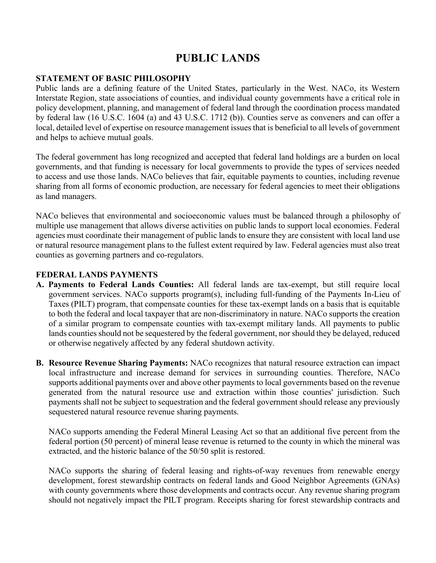# **PUBLIC LANDS**

#### **STATEMENT OF BASIC PHILOSOPHY**

Public lands are a defining feature of the United States, particularly in the West. NACo, its Western Interstate Region, state associations of counties, and individual county governments have a critical role in policy development, planning, and management of federal land through the coordination process mandated by federal law (16 U.S.C. 1604 (a) and 43 U.S.C. 1712 (b)). Counties serve as conveners and can offer a local, detailed level of expertise on resource management issues that is beneficial to all levels of government and helps to achieve mutual goals.

The federal government has long recognized and accepted that federal land holdings are a burden on local governments, and that funding is necessary for local governments to provide the types of services needed to access and use those lands. NACo believes that fair, equitable payments to counties, including revenue sharing from all forms of economic production, are necessary for federal agencies to meet their obligations as land managers.

NACo believes that environmental and socioeconomic values must be balanced through a philosophy of multiple use management that allows diverse activities on public lands to support local economies. Federal agencies must coordinate their management of public lands to ensure they are consistent with local land use or natural resource management plans to the fullest extent required by law. Federal agencies must also treat counties as governing partners and co-regulators.

## **FEDERAL LANDS PAYMENTS**

- **A. Payments to Federal Lands Counties:** All federal lands are tax-exempt, but still require local government services. NACo supports program(s), including full-funding of the Payments In-Lieu of Taxes (PILT) program, that compensate counties for these tax-exempt lands on a basis that is equitable to both the federal and local taxpayer that are non-discriminatory in nature. NACo supports the creation of a similar program to compensate counties with tax-exempt military lands. All payments to public lands counties should not be sequestered by the federal government, nor should they be delayed, reduced or otherwise negatively affected by any federal shutdown activity.
- **B. Resource Revenue Sharing Payments:** NACo recognizes that natural resource extraction can impact local infrastructure and increase demand for services in surrounding counties. Therefore, NACo supports additional payments over and above other payments to local governments based on the revenue generated from the natural resource use and extraction within those counties' jurisdiction. Such payments shall not be subject to sequestration and the federal government should release any previously sequestered natural resource revenue sharing payments.

NACo supports amending the Federal Mineral Leasing Act so that an additional five percent from the federal portion (50 percent) of mineral lease revenue is returned to the county in which the mineral was extracted, and the historic balance of the 50/50 split is restored.

NACo supports the sharing of federal leasing and rights-of-way revenues from renewable energy development, forest stewardship contracts on federal lands and Good Neighbor Agreements (GNAs) with county governments where those developments and contracts occur. Any revenue sharing program should not negatively impact the PILT program. Receipts sharing for forest stewardship contracts and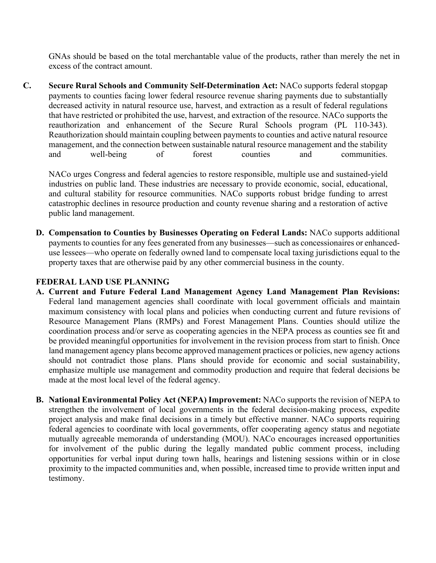GNAs should be based on the total merchantable value of the products, rather than merely the net in excess of the contract amount.

**C. Secure Rural Schools and Community Self-Determination Act:** NACo supports federal stopgap payments to counties facing lower federal resource revenue sharing payments due to substantially decreased activity in natural resource use, harvest, and extraction as a result of federal regulations that have restricted or prohibited the use, harvest, and extraction of the resource. NACo supports the reauthorization and enhancement of the Secure Rural Schools program (PL 110-343). Reauthorization should maintain coupling between payments to counties and active natural resource management, and the connection between sustainable natural resource management and the stability and well-being of forest counties and communities.

NACo urges Congress and federal agencies to restore responsible, multiple use and sustained-yield industries on public land. These industries are necessary to provide economic, social, educational, and cultural stability for resource communities. NACo supports robust bridge funding to arrest catastrophic declines in resource production and county revenue sharing and a restoration of active public land management.

**D. Compensation to Counties by Businesses Operating on Federal Lands:** NACo supports additional payments to counties for any fees generated from any businesses—such as concessionaires or enhanceduse lessees—who operate on federally owned land to compensate local taxing jurisdictions equal to the property taxes that are otherwise paid by any other commercial business in the county.

#### **FEDERAL LAND USE PLANNING**

- **A. Current and Future Federal Land Management Agency Land Management Plan Revisions:** Federal land management agencies shall coordinate with local government officials and maintain maximum consistency with local plans and policies when conducting current and future revisions of Resource Management Plans (RMPs) and Forest Management Plans. Counties should utilize the coordination process and/or serve as cooperating agencies in the NEPA process as counties see fit and be provided meaningful opportunities for involvement in the revision process from start to finish. Once land management agency plans become approved management practices or policies, new agency actions should not contradict those plans. Plans should provide for economic and social sustainability, emphasize multiple use management and commodity production and require that federal decisions be made at the most local level of the federal agency.
- **B. National Environmental Policy Act (NEPA) Improvement:** NACo supports the revision of NEPA to strengthen the involvement of local governments in the federal decision-making process, expedite project analysis and make final decisions in a timely but effective manner. NACo supports requiring federal agencies to coordinate with local governments, offer cooperating agency status and negotiate mutually agreeable memoranda of understanding (MOU). NACo encourages increased opportunities for involvement of the public during the legally mandated public comment process, including opportunities for verbal input during town halls, hearings and listening sessions within or in close proximity to the impacted communities and, when possible, increased time to provide written input and testimony.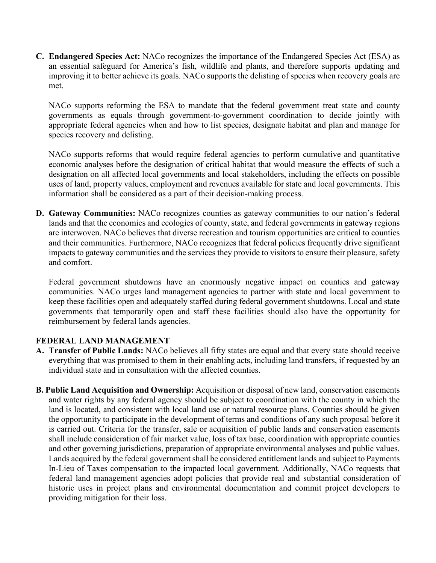**C. Endangered Species Act:** NACo recognizes the importance of the Endangered Species Act (ESA) as an essential safeguard for America's fish, wildlife and plants, and therefore supports updating and improving it to better achieve its goals. NACo supports the delisting of species when recovery goals are met.

NACo supports reforming the ESA to mandate that the federal government treat state and county governments as equals through government-to-government coordination to decide jointly with appropriate federal agencies when and how to list species, designate habitat and plan and manage for species recovery and delisting.

NACo supports reforms that would require federal agencies to perform cumulative and quantitative economic analyses before the designation of critical habitat that would measure the effects of such a designation on all affected local governments and local stakeholders, including the effects on possible uses of land, property values, employment and revenues available for state and local governments. This information shall be considered as a part of their decision-making process.

**D. Gateway Communities:** NACo recognizes counties as gateway communities to our nation's federal lands and that the economies and ecologies of county, state, and federal governments in gateway regions are interwoven. NACo believes that diverse recreation and tourism opportunities are critical to counties and their communities. Furthermore, NACo recognizes that federal policies frequently drive significant impacts to gateway communities and the services they provide to visitors to ensure their pleasure, safety and comfort.

Federal government shutdowns have an enormously negative impact on counties and gateway communities. NACo urges land management agencies to partner with state and local government to keep these facilities open and adequately staffed during federal government shutdowns. Local and state governments that temporarily open and staff these facilities should also have the opportunity for reimbursement by federal lands agencies.

#### **FEDERAL LAND MANAGEMENT**

- **A. Transfer of Public Lands:** NACo believes all fifty states are equal and that every state should receive everything that was promised to them in their enabling acts, including land transfers, if requested by an individual state and in consultation with the affected counties.
- **B. Public Land Acquisition and Ownership:** Acquisition or disposal of new land, conservation easements and water rights by any federal agency should be subject to coordination with the county in which the land is located, and consistent with local land use or natural resource plans. Counties should be given the opportunity to participate in the development of terms and conditions of any such proposal before it is carried out. Criteria for the transfer, sale or acquisition of public lands and conservation easements shall include consideration of fair market value, loss of tax base, coordination with appropriate counties and other governing jurisdictions, preparation of appropriate environmental analyses and public values. Lands acquired by the federal government shall be considered entitlement lands and subject to Payments In-Lieu of Taxes compensation to the impacted local government. Additionally, NACo requests that federal land management agencies adopt policies that provide real and substantial consideration of historic uses in project plans and environmental documentation and commit project developers to providing mitigation for their loss.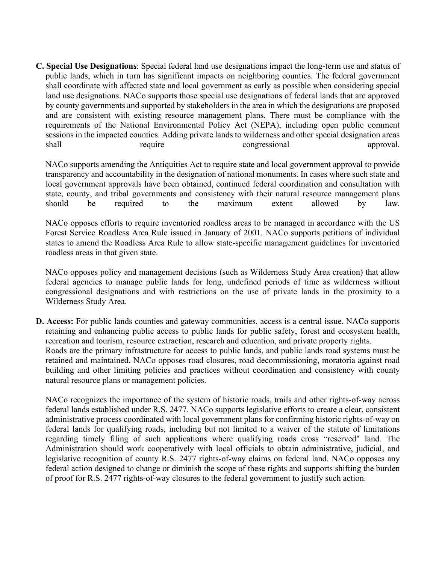**C. Special Use Designations**: Special federal land use designations impact the long-term use and status of public lands, which in turn has significant impacts on neighboring counties. The federal government shall coordinate with affected state and local government as early as possible when considering special land use designations. NACo supports those special use designations of federal lands that are approved by county governments and supported by stakeholders in the area in which the designations are proposed and are consistent with existing resource management plans. There must be compliance with the requirements of the National Environmental Policy Act (NEPA), including open public comment sessions in the impacted counties. Adding private lands to wilderness and other special designation areas shall require congressional approval.

NACo supports amending the Antiquities Act to require state and local government approval to provide transparency and accountability in the designation of national monuments. In cases where such state and local government approvals have been obtained, continued federal coordination and consultation with state, county, and tribal governments and consistency with their natural resource management plans should be required to the maximum extent allowed by law.

NACo opposes efforts to require inventoried roadless areas to be managed in accordance with the US Forest Service Roadless Area Rule issued in January of 2001. NACo supports petitions of individual states to amend the Roadless Area Rule to allow state-specific management guidelines for inventoried roadless areas in that given state.

NACo opposes policy and management decisions (such as Wilderness Study Area creation) that allow federal agencies to manage public lands for long, undefined periods of time as wilderness without congressional designations and with restrictions on the use of private lands in the proximity to a Wilderness Study Area.

**D. Access:** For public lands counties and gateway communities, access is a central issue. NACo supports retaining and enhancing public access to public lands for public safety, forest and ecosystem health, recreation and tourism, resource extraction, research and education, and private property rights. Roads are the primary infrastructure for access to public lands, and public lands road systems must be retained and maintained. NACo opposes road closures, road decommissioning, moratoria against road building and other limiting policies and practices without coordination and consistency with county natural resource plans or management policies.

NACo recognizes the importance of the system of historic roads, trails and other rights-of-way across federal lands established under R.S. 2477. NACo supports legislative efforts to create a clear, consistent administrative process coordinated with local government plans for confirming historic rights-of-way on federal lands for qualifying roads, including but not limited to a waiver of the statute of limitations regarding timely filing of such applications where qualifying roads cross "reserved" land. The Administration should work cooperatively with local officials to obtain administrative, judicial, and legislative recognition of county R.S. 2477 rights-of-way claims on federal land. NACo opposes any federal action designed to change or diminish the scope of these rights and supports shifting the burden of proof for R.S. 2477 rights-of-way closures to the federal government to justify such action.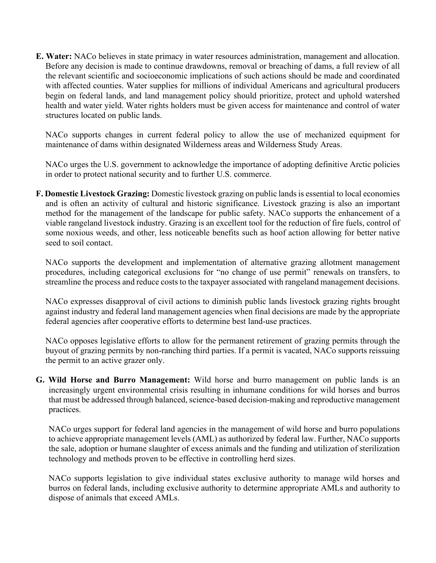**E. Water:** NACo believes in state primacy in water resources administration, management and allocation. Before any decision is made to continue drawdowns, removal or breaching of dams, a full review of all the relevant scientific and socioeconomic implications of such actions should be made and coordinated with affected counties. Water supplies for millions of individual Americans and agricultural producers begin on federal lands, and land management policy should prioritize, protect and uphold watershed health and water yield. Water rights holders must be given access for maintenance and control of water structures located on public lands.

NACo supports changes in current federal policy to allow the use of mechanized equipment for maintenance of dams within designated Wilderness areas and Wilderness Study Areas.

NACo urges the U.S. government to acknowledge the importance of adopting definitive Arctic policies in order to protect national security and to further U.S. commerce.

**F. Domestic Livestock Grazing:** Domestic livestock grazing on public lands is essential to local economies and is often an activity of cultural and historic significance. Livestock grazing is also an important method for the management of the landscape for public safety. NACo supports the enhancement of a viable rangeland livestock industry. Grazing is an excellent tool for the reduction of fire fuels, control of some noxious weeds, and other, less noticeable benefits such as hoof action allowing for better native seed to soil contact.

NACo supports the development and implementation of alternative grazing allotment management procedures, including categorical exclusions for "no change of use permit" renewals on transfers, to streamline the process and reduce costs to the taxpayer associated with rangeland management decisions.

NACo expresses disapproval of civil actions to diminish public lands livestock grazing rights brought against industry and federal land management agencies when final decisions are made by the appropriate federal agencies after cooperative efforts to determine best land-use practices.

NACo opposes legislative efforts to allow for the permanent retirement of grazing permits through the buyout of grazing permits by non-ranching third parties. If a permit is vacated, NACo supports reissuing the permit to an active grazer only.

**G. Wild Horse and Burro Management:** Wild horse and burro management on public lands is an increasingly urgent environmental crisis resulting in inhumane conditions for wild horses and burros that must be addressed through balanced, science-based decision-making and reproductive management practices.

NACo urges support for federal land agencies in the management of wild horse and burro populations to achieve appropriate management levels (AML) as authorized by federal law. Further, NACo supports the sale, adoption or humane slaughter of excess animals and the funding and utilization of sterilization technology and methods proven to be effective in controlling herd sizes.

NACo supports legislation to give individual states exclusive authority to manage wild horses and burros on federal lands, including exclusive authority to determine appropriate AMLs and authority to dispose of animals that exceed AMLs.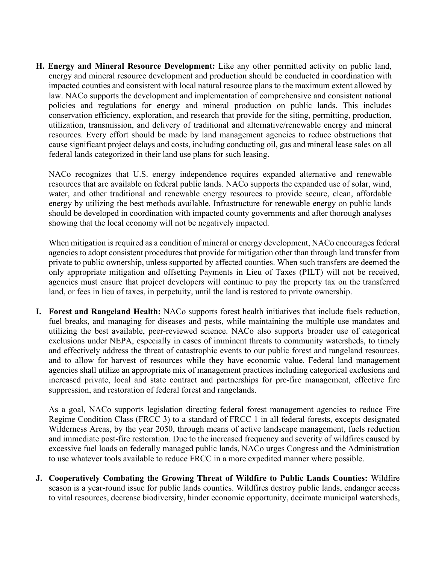**H. Energy and Mineral Resource Development:** Like any other permitted activity on public land, energy and mineral resource development and production should be conducted in coordination with impacted counties and consistent with local natural resource plans to the maximum extent allowed by law. NACo supports the development and implementation of comprehensive and consistent national policies and regulations for energy and mineral production on public lands. This includes conservation efficiency, exploration, and research that provide for the siting, permitting, production, utilization, transmission, and delivery of traditional and alternative/renewable energy and mineral resources. Every effort should be made by land management agencies to reduce obstructions that cause significant project delays and costs, including conducting oil, gas and mineral lease sales on all federal lands categorized in their land use plans for such leasing.

NACo recognizes that U.S. energy independence requires expanded alternative and renewable resources that are available on federal public lands. NACo supports the expanded use of solar, wind, water, and other traditional and renewable energy resources to provide secure, clean, affordable energy by utilizing the best methods available. Infrastructure for renewable energy on public lands should be developed in coordination with impacted county governments and after thorough analyses showing that the local economy will not be negatively impacted.

When mitigation is required as a condition of mineral or energy development, NACo encourages federal agencies to adopt consistent procedures that provide for mitigation other than through land transfer from private to public ownership, unless supported by affected counties. When such transfers are deemed the only appropriate mitigation and offsetting Payments in Lieu of Taxes (PILT) will not be received, agencies must ensure that project developers will continue to pay the property tax on the transferred land, or fees in lieu of taxes, in perpetuity, until the land is restored to private ownership.

**I. Forest and Rangeland Health:** NACo supports forest health initiatives that include fuels reduction, fuel breaks, and managing for diseases and pests, while maintaining the multiple use mandates and utilizing the best available, peer-reviewed science. NACo also supports broader use of categorical exclusions under NEPA, especially in cases of imminent threats to community watersheds, to timely and effectively address the threat of catastrophic events to our public forest and rangeland resources, and to allow for harvest of resources while they have economic value. Federal land management agencies shall utilize an appropriate mix of management practices including categorical exclusions and increased private, local and state contract and partnerships for pre-fire management, effective fire suppression, and restoration of federal forest and rangelands.

As a goal, NACo supports legislation directing federal forest management agencies to reduce Fire Regime Condition Class (FRCC 3) to a standard of FRCC 1 in all federal forests, excepts designated Wilderness Areas, by the year 2050, through means of active landscape management, fuels reduction and immediate post-fire restoration. Due to the increased frequency and severity of wildfires caused by excessive fuel loads on federally managed public lands, NACo urges Congress and the Administration to use whatever tools available to reduce FRCC in a more expedited manner where possible.

**J. Cooperatively Combating the Growing Threat of Wildfire to Public Lands Counties:** Wildfire season is a year-round issue for public lands counties. Wildfires destroy public lands, endanger access to vital resources, decrease biodiversity, hinder economic opportunity, decimate municipal watersheds,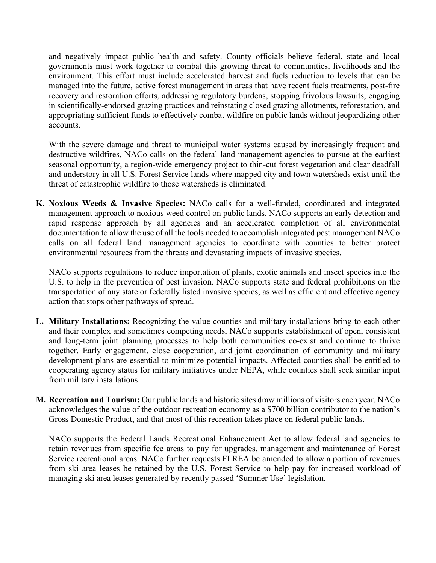and negatively impact public health and safety. County officials believe federal, state and local governments must work together to combat this growing threat to communities, livelihoods and the environment. This effort must include accelerated harvest and fuels reduction to levels that can be managed into the future, active forest management in areas that have recent fuels treatments, post-fire recovery and restoration efforts, addressing regulatory burdens, stopping frivolous lawsuits, engaging in scientifically-endorsed grazing practices and reinstating closed grazing allotments, reforestation, and appropriating sufficient funds to effectively combat wildfire on public lands without jeopardizing other accounts.

With the severe damage and threat to municipal water systems caused by increasingly frequent and destructive wildfires, NACo calls on the federal land management agencies to pursue at the earliest seasonal opportunity, a region-wide emergency project to thin-cut forest vegetation and clear deadfall and understory in all U.S. Forest Service lands where mapped city and town watersheds exist until the threat of catastrophic wildfire to those watersheds is eliminated.

**K. Noxious Weeds & Invasive Species:** NACo calls for a well-funded, coordinated and integrated management approach to noxious weed control on public lands. NACo supports an early detection and rapid response approach by all agencies and an accelerated completion of all environmental documentation to allow the use of all the tools needed to accomplish integrated pest management NACo calls on all federal land management agencies to coordinate with counties to better protect environmental resources from the threats and devastating impacts of invasive species.

NACo supports regulations to reduce importation of plants, exotic animals and insect species into the U.S. to help in the prevention of pest invasion. NACo supports state and federal prohibitions on the transportation of any state or federally listed invasive species, as well as efficient and effective agency action that stops other pathways of spread.

- **L. Military Installations:** Recognizing the value counties and military installations bring to each other and their complex and sometimes competing needs, NACo supports establishment of open, consistent and long-term joint planning processes to help both communities co-exist and continue to thrive together. Early engagement, close cooperation, and joint coordination of community and military development plans are essential to minimize potential impacts. Affected counties shall be entitled to cooperating agency status for military initiatives under NEPA, while counties shall seek similar input from military installations.
- **M. Recreation and Tourism:** Our public lands and historic sites draw millions of visitors each year. NACo acknowledges the value of the outdoor recreation economy as a \$700 billion contributor to the nation's Gross Domestic Product, and that most of this recreation takes place on federal public lands.

NACo supports the Federal Lands Recreational Enhancement Act to allow federal land agencies to retain revenues from specific fee areas to pay for upgrades, management and maintenance of Forest Service recreational areas. NACo further requests FLREA be amended to allow a portion of revenues from ski area leases be retained by the U.S. Forest Service to help pay for increased workload of managing ski area leases generated by recently passed 'Summer Use' legislation.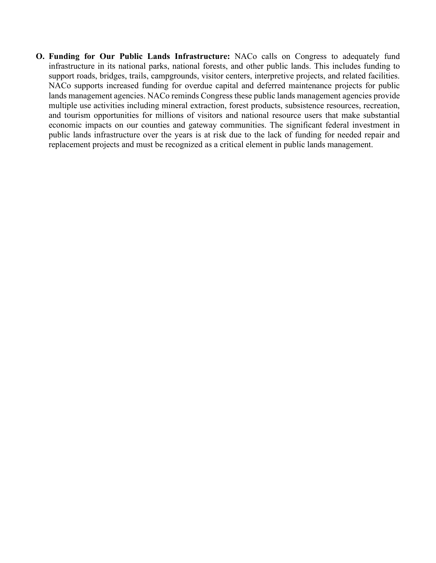**O. Funding for Our Public Lands Infrastructure:** NACo calls on Congress to adequately fund infrastructure in its national parks, national forests, and other public lands. This includes funding to support roads, bridges, trails, campgrounds, visitor centers, interpretive projects, and related facilities. NACo supports increased funding for overdue capital and deferred maintenance projects for public lands management agencies. NACo reminds Congress these public lands management agencies provide multiple use activities including mineral extraction, forest products, subsistence resources, recreation, and tourism opportunities for millions of visitors and national resource users that make substantial economic impacts on our counties and gateway communities. The significant federal investment in public lands infrastructure over the years is at risk due to the lack of funding for needed repair and replacement projects and must be recognized as a critical element in public lands management.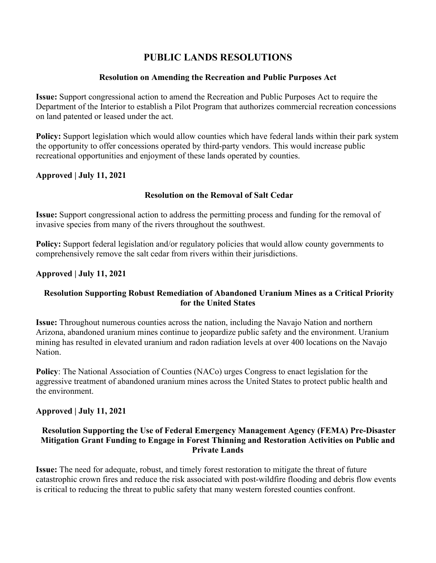## **PUBLIC LANDS RESOLUTIONS**

#### **Resolution on Amending the Recreation and Public Purposes Act**

**Issue:** Support congressional action to amend the Recreation and Public Purposes Act to require the Department of the Interior to establish a Pilot Program that authorizes commercial recreation concessions on land patented or leased under the act.

**Policy:** Support legislation which would allow counties which have federal lands within their park system the opportunity to offer concessions operated by third-party vendors. This would increase public recreational opportunities and enjoyment of these lands operated by counties.

#### **Approved | July 11, 2021**

## **Resolution on the Removal of Salt Cedar**

**Issue:** Support congressional action to address the permitting process and funding for the removal of invasive species from many of the rivers throughout the southwest.

**Policy:** Support federal legislation and/or regulatory policies that would allow county governments to comprehensively remove the salt cedar from rivers within their jurisdictions.

## **Approved | July 11, 2021**

## **Resolution Supporting Robust Remediation of Abandoned Uranium Mines as a Critical Priority for the United States**

**Issue:** Throughout numerous counties across the nation, including the Navajo Nation and northern Arizona, abandoned uranium mines continue to jeopardize public safety and the environment. Uranium mining has resulted in elevated uranium and radon radiation levels at over 400 locations on the Navajo Nation.

**Policy**: The National Association of Counties (NACo) urges Congress to enact legislation for the aggressive treatment of abandoned uranium mines across the United States to protect public health and the environment.

#### **Approved | July 11, 2021**

#### **Resolution Supporting the Use of Federal Emergency Management Agency (FEMA) Pre-Disaster Mitigation Grant Funding to Engage in Forest Thinning and Restoration Activities on Public and Private Lands**

**Issue:** The need for adequate, robust, and timely forest restoration to mitigate the threat of future catastrophic crown fires and reduce the risk associated with post-wildfire flooding and debris flow events is critical to reducing the threat to public safety that many western forested counties confront.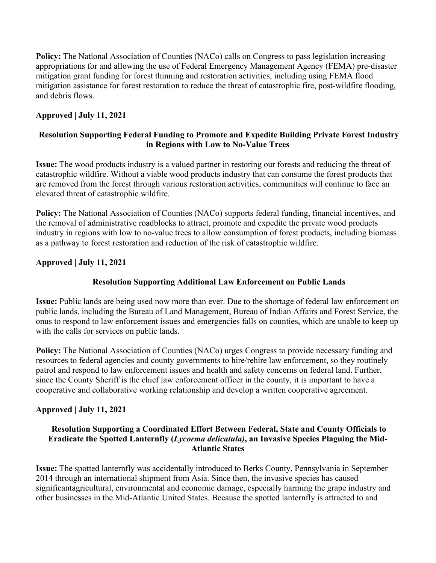**Policy:** The National Association of Counties (NACo) calls on Congress to pass legislation increasing appropriations for and allowing the use of Federal Emergency Management Agency (FEMA) pre-disaster mitigation grant funding for forest thinning and restoration activities, including using FEMA flood mitigation assistance for forest restoration to reduce the threat of catastrophic fire, post-wildfire flooding, and debris flows.

#### **Approved | July 11, 2021**

#### **Resolution Supporting Federal Funding to Promote and Expedite Building Private Forest Industry in Regions with Low to No-Value Trees**

**Issue:** The wood products industry is a valued partner in restoring our forests and reducing the threat of catastrophic wildfire. Without a viable wood products industry that can consume the forest products that are removed from the forest through various restoration activities, communities will continue to face an elevated threat of catastrophic wildfire.

**Policy:** The National Association of Counties (NACo) supports federal funding, financial incentives, and the removal of administrative roadblocks to attract, promote and expedite the private wood products industry in regions with low to no-value trees to allow consumption of forest products, including biomass as a pathway to forest restoration and reduction of the risk of catastrophic wildfire.

## **Approved | July 11, 2021**

#### **Resolution Supporting Additional Law Enforcement on Public Lands**

**Issue:** Public lands are being used now more than ever. Due to the shortage of federal law enforcement on public lands, including the Bureau of Land Management, Bureau of Indian Affairs and Forest Service, the onus to respond to law enforcement issues and emergencies falls on counties, which are unable to keep up with the calls for services on public lands.

**Policy:** The National Association of Counties (NACo) urges Congress to provide necessary funding and resources to federal agencies and county governments to hire/rehire law enforcement, so they routinely patrol and respond to law enforcement issues and health and safety concerns on federal land. Further, since the County Sheriff is the chief law enforcement officer in the county, it is important to have a cooperative and collaborative working relationship and develop a written cooperative agreement.

#### **Approved | July 11, 2021**

#### **Resolution Supporting a Coordinated Effort Between Federal, State and County Officials to Eradicate the Spotted Lanternfly (***Lycorma delicatula)***, an Invasive Species Plaguing the Mid-Atlantic States**

**Issue:** The spotted lanternfly was accidentally introduced to Berks County, Pennsylvania in September 2014 through an international shipment from Asia. Since then, the invasive species has caused significantagricultural, environmental and economic damage, especially harming the grape industry and other businesses in the Mid-Atlantic United States. Because the spotted lanternfly is attracted to and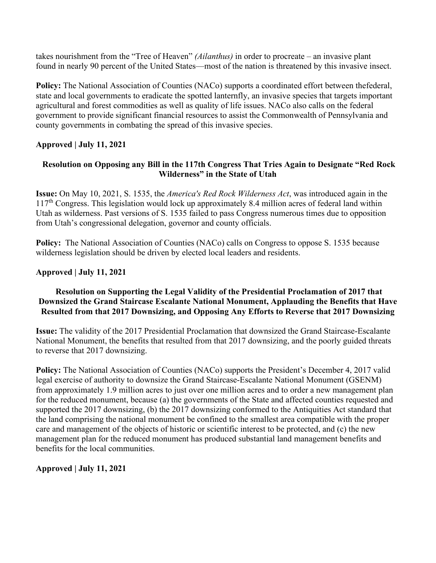takes nourishment from the "Tree of Heaven" *(Ailanthus)* in order to procreate – an invasive plant found in nearly 90 percent of the United States—most of the nation is threatened by this invasive insect.

Policy: The National Association of Counties (NACo) supports a coordinated effort between thefederal, state and local governments to eradicate the spotted lanternfly, an invasive species that targets important agricultural and forest commodities as well as quality of life issues. NACo also calls on the federal government to provide significant financial resources to assist the Commonwealth of Pennsylvania and county governments in combating the spread of this invasive species.

## **Approved | July 11, 2021**

## **Resolution on Opposing any Bill in the 117th Congress That Tries Again to Designate "Red Rock Wilderness" in the State of Utah**

**Issue:** On May 10, 2021, S. 1535, the *America's Red Rock Wilderness Act*, was introduced again in the  $117<sup>th</sup>$  Congress. This legislation would lock up approximately 8.4 million acres of federal land within Utah as wilderness. Past versions of S. 1535 failed to pass Congress numerous times due to opposition from Utah's congressional delegation, governor and county officials.

**Policy:** The National Association of Counties (NACo) calls on Congress to oppose S. 1535 because wilderness legislation should be driven by elected local leaders and residents.

#### **Approved | July 11, 2021**

#### **Resolution on Supporting the Legal Validity of the Presidential Proclamation of 2017 that Downsized the Grand Staircase Escalante National Monument, Applauding the Benefits that Have Resulted from that 2017 Downsizing, and Opposing Any Efforts to Reverse that 2017 Downsizing**

**Issue:** The validity of the 2017 Presidential Proclamation that downsized the Grand Staircase-Escalante National Monument, the benefits that resulted from that 2017 downsizing, and the poorly guided threats to reverse that 2017 downsizing.

**Policy:** The National Association of Counties (NACo) supports the President's December 4, 2017 valid legal exercise of authority to downsize the Grand Staircase-Escalante National Monument (GSENM) from approximately 1.9 million acres to just over one million acres and to order a new management plan for the reduced monument, because (a) the governments of the State and affected counties requested and supported the 2017 downsizing, (b) the 2017 downsizing conformed to the Antiquities Act standard that the land comprising the national monument be confined to the smallest area compatible with the proper care and management of the objects of historic or scientific interest to be protected, and (c) the new management plan for the reduced monument has produced substantial land management benefits and benefits for the local communities.

**Approved | July 11, 2021**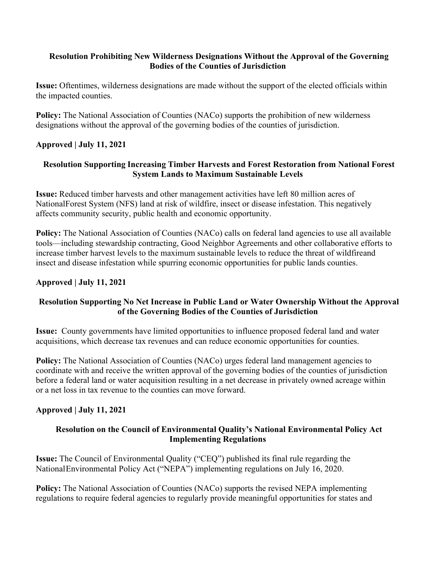#### **Resolution Prohibiting New Wilderness Designations Without the Approval of the Governing Bodies of the Counties of Jurisdiction**

**Issue:** Oftentimes, wilderness designations are made without the support of the elected officials within the impacted counties.

**Policy:** The National Association of Counties (NACo) supports the prohibition of new wilderness designations without the approval of the governing bodies of the counties of jurisdiction.

#### **Approved | July 11, 2021**

## **Resolution Supporting Increasing Timber Harvests and Forest Restoration from National Forest System Lands to Maximum Sustainable Levels**

**Issue:** Reduced timber harvests and other management activities have left 80 million acres of NationalForest System (NFS) land at risk of wildfire, insect or disease infestation. This negatively affects community security, public health and economic opportunity.

**Policy:** The National Association of Counties (NACo) calls on federal land agencies to use all available tools—including stewardship contracting, Good Neighbor Agreements and other collaborative efforts to increase timber harvest levels to the maximum sustainable levels to reduce the threat of wildfireand insect and disease infestation while spurring economic opportunities for public lands counties.

#### **Approved | July 11, 2021**

## **Resolution Supporting No Net Increase in Public Land or Water Ownership Without the Approval of the Governing Bodies of the Counties of Jurisdiction**

**Issue:** County governments have limited opportunities to influence proposed federal land and water acquisitions, which decrease tax revenues and can reduce economic opportunities for counties.

**Policy:** The National Association of Counties (NACo) urges federal land management agencies to coordinate with and receive the written approval of the governing bodies of the counties of jurisdiction before a federal land or water acquisition resulting in a net decrease in privately owned acreage within or a net loss in tax revenue to the counties can move forward.

#### **Approved | July 11, 2021**

#### **Resolution on the Council of Environmental Quality's National Environmental Policy Act Implementing Regulations**

**Issue:** The Council of Environmental Quality ("CEQ") published its final rule regarding the National Environmental Policy Act ("NEPA") implementing regulations on July 16, 2020.

Policy: The National Association of Counties (NACo) supports the revised NEPA implementing regulations to require federal agencies to regularly provide meaningful opportunities for states and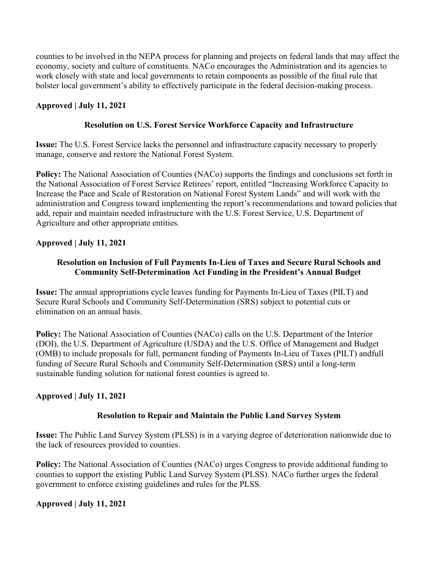counties to be involved in the NEPA process for planning and projects on federal lands that may affect the economy, society and culture of constituents. NACo encourages the Administration and its agencies to work closely with state and local governments to retain components as possible of the final rule that bolster local government's ability to effectively participate in the federal decision-making process.

## **Approved | July 11, 2021**

#### **Resolution on U.S. Forest Service Workforce Capacity and Infrastructure**

**Issue:** The U.S. Forest Service lacks the personnel and infrastructure capacity necessary to properly manage, conserve and restore the National Forest System.

**Policy:** The National Association of Counties (NACo) supports the findings and conclusions set forth in the National Association of Forest Service Retirees' report, entitled "Increasing Workforce Capacity to Increase the Pace and Scale of Restoration on National Forest System Lands" and will work with the administration and Congress toward implementing the report's recommendations and toward policies that add, repair and maintain needed infrastructure with the U.S. Forest Service, U.S. Department of Agriculture and other appropriate entities.

## **Approved | July 11, 2021**

## **Resolution on Inclusion of Full Payments In-Lieu of Taxes and Secure Rural Schools and Community Self-Determination Act Funding in the President's Annual Budget**

**Issue:** The annual appropriations cycle leaves funding for Payments In-Lieu of Taxes (PILT) and Secure Rural Schools and Community Self-Determination (SRS) subject to potential cuts or elimination on an annual basis.

**Policy:** The National Association of Counties (NACo) calls on the U.S. Department of the Interior (DOI), the U.S. Department of Agriculture (USDA) and the U.S. Office of Management and Budget (OMB) to include proposals for full, permanent funding of Payments In-Lieu of Taxes (PILT) andfull funding of Secure Rural Schools and Community Self-Determination (SRS) until a long-term sustainable funding solution for national forest counties is agreed to.

#### **Approved | July 11, 2021**

#### **Resolution to Repair and Maintain the Public Land Survey System**

**Issue:** The Public Land Survey System (PLSS) is in a varying degree of deterioration nationwide due to the lack of resources provided to counties.

**Policy:** The National Association of Counties (NACo) urges Congress to provide additional funding to counties to support the existing Public Land Survey System (PLSS). NACo further urges the federal government to enforce existing guidelines and rules for the PLSS.

#### **Approved | July 11, 2021**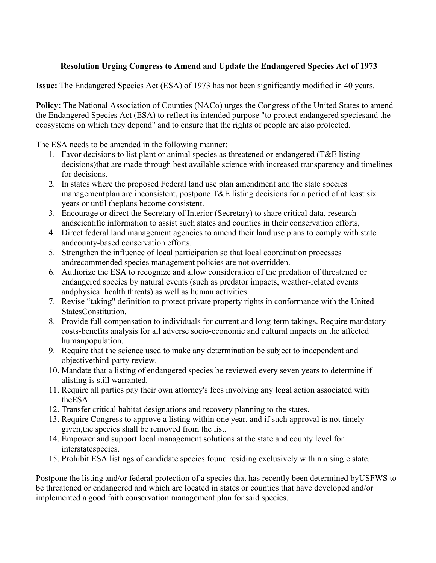## **Resolution Urging Congress to Amend and Update the Endangered Species Act of 1973**

**Issue:** The Endangered Species Act (ESA) of 1973 has not been significantly modified in 40 years.

**Policy:** The National Association of Counties (NACo) urges the Congress of the United States to amend the Endangered Species Act (ESA) to reflect its intended purpose "to protect endangered speciesand the ecosystems on which they depend" and to ensure that the rights of people are also protected.

The ESA needs to be amended in the following manner:

- 1. Favor decisions to list plant or animal species as threatened or endangered (T&E listing decisions)that are made through best available science with increased transparency and timelines for decisions.
- 2. In states where the proposed Federal land use plan amendment and the state species managementplan are inconsistent, postpone T&E listing decisions for a period of at least six years or until theplans become consistent.
- 3. Encourage or direct the Secretary of Interior (Secretary) to share critical data, research andscientific information to assist such states and counties in their conservation efforts,
- 4. Direct federal land management agencies to amend their land use plans to comply with state andcounty-based conservation efforts.
- 5. Strengthen the influence of local participation so that local coordination processes andrecommended species management policies are not overridden.
- 6. Authorize the ESA to recognize and allow consideration of the predation of threatened or endangered species by natural events (such as predator impacts, weather-related events andphysical health threats) as well as human activities.
- 7. Revise "taking" definition to protect private property rights in conformance with the United StatesConstitution.
- 8. Provide full compensation to individuals for current and long-term takings. Require mandatory costs-benefits analysis for all adverse socio-economic and cultural impacts on the affected humanpopulation.
- 9. Require that the science used to make any determination be subject to independent and objectivethird-party review.
- 10. Mandate that a listing of endangered species be reviewed every seven years to determine if alisting is still warranted.
- 11. Require all parties pay their own attorney's fees involving any legal action associated with theESA.
- 12. Transfer critical habitat designations and recovery planning to the states.
- 13. Require Congress to approve a listing within one year, and if such approval is not timely given,the species shall be removed from the list.
- 14. Empower and support local management solutions at the state and county level for interstatespecies.
- 15. Prohibit ESA listings of candidate species found residing exclusively within a single state.

Postpone the listing and/or federal protection of a species that has recently been determined byUSFWS to be threatened or endangered and which are located in states or counties that have developed and/or implemented a good faith conservation management plan for said species.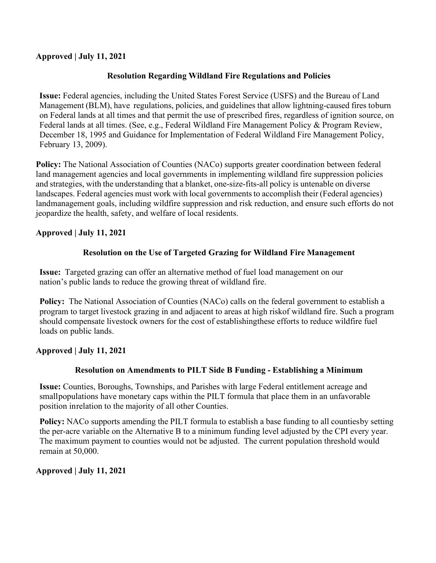#### **Approved | July 11, 2021**

## **Resolution Regarding Wildland Fire Regulations and Policies**

**Issue:** Federal agencies, including the United States Forest Service (USFS) and the Bureau of Land Management (BLM), have regulations, policies, and guidelines that allow lightning-caused fires toburn on Federal lands at all times and that permit the use of prescribed fires, regardless of ignition source, on Federal lands at all times. (See, e.g., Federal Wildland Fire Management Policy & Program Review, December 18, 1995 and Guidance for Implementation of Federal Wildland Fire Management Policy, February 13, 2009).

**Policy:** The National Association of Counties (NACo) supports greater coordination between federal land management agencies and local governments in implementing wildland fire suppression policies and strategies, with the understanding that a blanket, one-size-fits-all policy is untenable on diverse landscapes. Federal agencies must work with local governments to accomplish their (Federal agencies) landmanagement goals, including wildfire suppression and risk reduction, and ensure such efforts do not jeopardize the health, safety, and welfare of local residents.

## **Approved | July 11, 2021**

## **Resolution on the Use of Targeted Grazing for Wildland Fire Management**

**Issue:** Targeted grazing can offer an alternative method of fuel load management on our nation's public lands to reduce the growing threat of wildland fire.

**Policy:** The National Association of Counties (NACo) calls on the federal government to establish a program to target livestock grazing in and adjacent to areas at high riskof wildland fire. Such a program should compensate livestock owners for the cost of establishingthese efforts to reduce wildfire fuel loads on public lands.

#### **Approved | July 11, 2021**

#### **Resolution on Amendments to PILT Side B Funding - Establishing a Minimum**

**Issue:** Counties, Boroughs, Townships, and Parishes with large Federal entitlement acreage and smallpopulations have monetary caps within the PILT formula that place them in an unfavorable position inrelation to the majority of all other Counties.

**Policy:** NACo supports amending the PILT formula to establish a base funding to all countiesby setting the per-acre variable on the Alternative B to a minimum funding level adjusted by the CPI every year. The maximum payment to counties would not be adjusted. The current population threshold would remain at 50,000.

#### **Approved | July 11, 2021**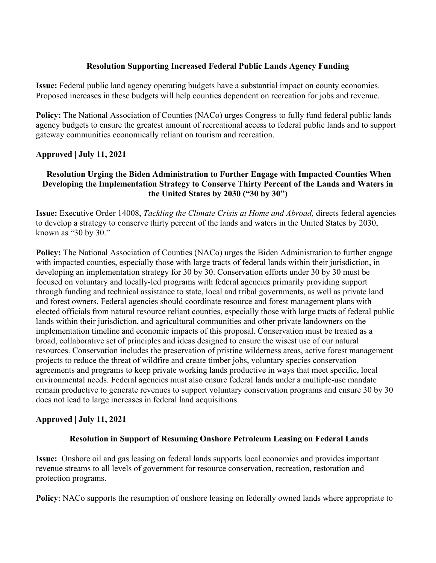#### **Resolution Supporting Increased Federal Public Lands Agency Funding**

**Issue:** Federal public land agency operating budgets have a substantial impact on county economies. Proposed increases in these budgets will help counties dependent on recreation for jobs and revenue.

**Policy:** The National Association of Counties (NACo) urges Congress to fully fund federal public lands agency budgets to ensure the greatest amount of recreational access to federal public lands and to support gateway communities economically reliant on tourism and recreation.

## **Approved | July 11, 2021**

#### **Resolution Urging the Biden Administration to Further Engage with Impacted Counties When Developing the Implementation Strategy to Conserve Thirty Percent of the Lands and Waters in the United States by 2030 ("30 by 30")**

**Issue:** Executive Order 14008, *Tackling the Climate Crisis at Home and Abroad,* directs federal agencies to develop a strategy to conserve thirty percent of the lands and waters in the United States by 2030, known as "30 by 30."

**Policy:** The National Association of Counties (NACo) urges the Biden Administration to further engage with impacted counties, especially those with large tracts of federal lands within their jurisdiction, in developing an implementation strategy for 30 by 30. Conservation efforts under 30 by 30 must be focused on voluntary and locally-led programs with federal agencies primarily providing support through funding and technical assistance to state, local and tribal governments, as well as private land and forest owners. Federal agencies should coordinate resource and forest management plans with elected officials from natural resource reliant counties, especially those with large tracts of federal public lands within their jurisdiction, and agricultural communities and other private landowners on the implementation timeline and economic impacts of this proposal. Conservation must be treated as a broad, collaborative set of principles and ideas designed to ensure the wisest use of our natural resources. Conservation includes the preservation of pristine wilderness areas, active forest management projects to reduce the threat of wildfire and create timber jobs, voluntary species conservation agreements and programs to keep private working lands productive in ways that meet specific, local environmental needs. Federal agencies must also ensure federal lands under a multiple-use mandate remain productive to generate revenues to support voluntary conservation programs and ensure 30 by 30 does not lead to large increases in federal land acquisitions.

#### **Approved | July 11, 2021**

#### **Resolution in Support of Resuming Onshore Petroleum Leasing on Federal Lands**

**Issue:** Onshore oil and gas leasing on federal lands supports local economies and provides important revenue streams to all levels of government for resource conservation, recreation, restoration and protection programs.

**Policy**: NACo supports the resumption of onshore leasing on federally owned lands where appropriate to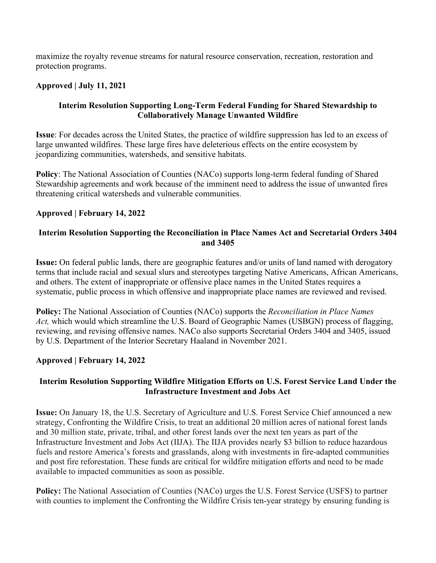maximize the royalty revenue streams for natural resource conservation, recreation, restoration and protection programs.

#### **Approved | July 11, 2021**

#### **Interim Resolution Supporting Long-Term Federal Funding for Shared Stewardship to Collaboratively Manage Unwanted Wildfire**

**Issue**: For decades across the United States, the practice of wildfire suppression has led to an excess of large unwanted wildfires. These large fires have deleterious effects on the entire ecosystem by jeopardizing communities, watersheds, and sensitive habitats.

**Policy**: The National Association of Counties (NACo) supports long-term federal funding of Shared Stewardship agreements and work because of the imminent need to address the issue of unwanted fires threatening critical watersheds and vulnerable communities.

#### **Approved | February 14, 2022**

#### **Interim Resolution Supporting the Reconciliation in Place Names Act and Secretarial Orders 3404 and 3405**

**Issue:** On federal public lands, there are geographic features and/or units of land named with derogatory terms that include racial and sexual slurs and stereotypes targeting Native Americans, African Americans, and others. The extent of inappropriate or offensive place names in the United States requires a systematic, public process in which offensive and inappropriate place names are reviewed and revised.

**Policy:** The National Association of Counties (NACo) supports the *Reconciliation in Place Names Act,* which would which streamline the U.S. Board of Geographic Names (USBGN) process of flagging, reviewing, and revising offensive names. NACo also supports Secretarial Orders 3404 and 3405, issued by U.S. Department of the Interior Secretary Haaland in November 2021.

#### **Approved | February 14, 2022**

#### **Interim Resolution Supporting Wildfire Mitigation Efforts on U.S. Forest Service Land Under the Infrastructure Investment and Jobs Act**

**Issue:** On January 18, the U.S. Secretary of Agriculture and U.S. Forest Service Chief announced a new strategy, Confronting the Wildfire Crisis, to treat an additional 20 million acres of national forest lands and 30 million state, private, tribal, and other forest lands over the next ten years as part of the Infrastructure Investment and Jobs Act (IIJA). The IIJA provides nearly \$3 billion to reduce hazardous fuels and restore America's forests and grasslands, along with investments in fire-adapted communities and post fire reforestation. These funds are critical for wildfire mitigation efforts and need to be made available to impacted communities as soon as possible.

**Policy:** The National Association of Counties (NACo) urges the U.S. Forest Service (USFS) to partner with counties to implement the Confronting the Wildfire Crisis ten-year strategy by ensuring funding is